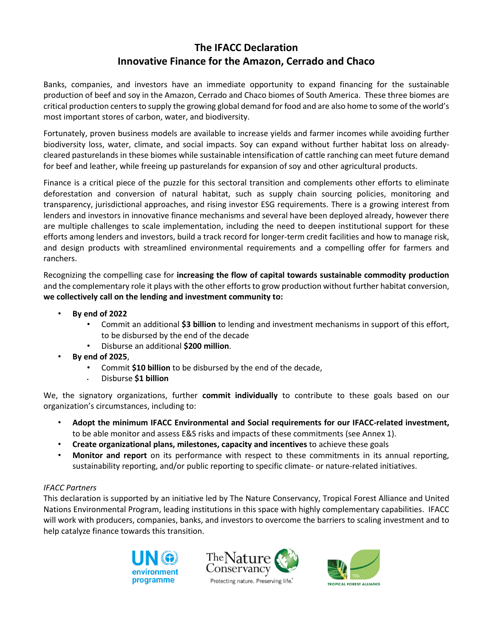# **The IFACC Declaration Innovative Finance for the Amazon, Cerrado and Chaco**

Banks, companies, and investors have an immediate opportunity to expand financing for the sustainable production of beef and soy in the Amazon, Cerrado and Chaco biomes of South America. These three biomes are critical production centers to supply the growing global demand for food and are also home to some of the world's most important stores of carbon, water, and biodiversity.

Fortunately, proven business models are available to increase yields and farmer incomes while avoiding further biodiversity loss, water, climate, and social impacts. Soy can expand without further habitat loss on alreadycleared pasturelands in these biomes while sustainable intensification of cattle ranching can meet future demand for beef and leather, while freeing up pasturelands for expansion of soy and other agricultural products.

Finance is a critical piece of the puzzle for this sectoral transition and complements other efforts to eliminate deforestation and conversion of natural habitat, such as supply chain sourcing policies, monitoring and transparency, jurisdictional approaches, and rising investor ESG requirements. There is a growing interest from lenders and investors in innovative finance mechanisms and several have been deployed already, however there are multiple challenges to scale implementation, including the need to deepen institutional support for these efforts among lenders and investors, build a track record for longer-term credit facilities and how to manage risk, and design products with streamlined environmental requirements and a compelling offer for farmers and ranchers.

Recognizing the compelling case for **increasing the flow of capital towards sustainable commodity production** and the complementary role it plays with the other efforts to grow production without further habitat conversion, **we collectively call on the lending and investment community to:**

- **By end of 2022**
	- Commit an additional **\$3 billion** to lending and investment mechanisms in support of this effort, to be disbursed by the end of the decade
	- Disburse an additional **\$200 million**.
	- **By end of 2025**,
		- Commit **\$10 billion** to be disbursed by the end of the decade,
		- Disburse **\$1 billion**

We, the signatory organizations, further **commit individually** to contribute to these goals based on our organization's circumstances, including to:

- **Adopt the minimum IFACC Environmental and Social requirements for our IFACC-related investment,**  to be able monitor and assess E&S risks and impacts of these commitments (see Annex 1).
- **Create organizational plans, milestones, capacity and incentives** to achieve these goals
- **Monitor and report** on its performance with respect to these commitments in its annual reporting, sustainability reporting, and/or public reporting to specific climate- or nature-related initiatives.

### *IFACC Partners*

This declaration is supported by an initiative led by The Nature Conservancy, Tropical Forest Alliance and United Nations Environmental Program, leading institutions in this space with highly complementary capabilities. IFACC will work with producers, companies, banks, and investors to overcome the barriers to scaling investment and to help catalyze finance towards this transition.







Protecting nature. Preserving life.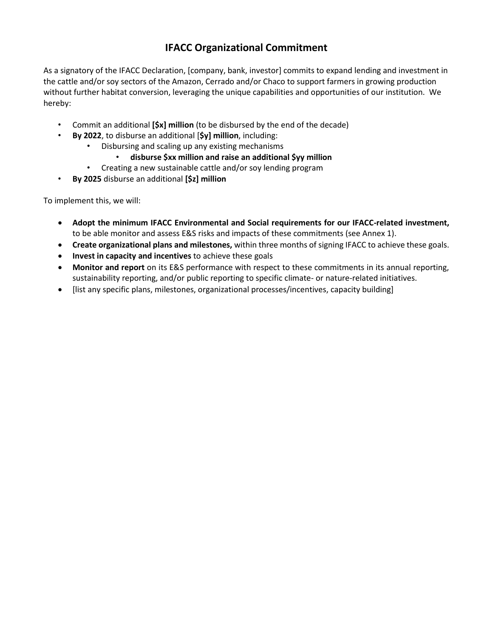# **IFACC Organizational Commitment**

As a signatory of the IFACC Declaration, [company, bank, investor] commits to expand lending and investment in the cattle and/or soy sectors of the Amazon, Cerrado and/or Chaco to support farmers in growing production without further habitat conversion, leveraging the unique capabilities and opportunities of our institution. We hereby:

- Commit an additional **[\$x] million** (to be disbursed by the end of the decade)
- **By 2022**, to disburse an additional [**\$y] million**, including:
	- Disbursing and scaling up any existing mechanisms
		- **disburse \$xx million and raise an additional \$yy million**
	- Creating a new sustainable cattle and/or soy lending program
- **By 2025** disburse an additional **[\$z] million**

To implement this, we will:

- **Adopt the minimum IFACC Environmental and Social requirements for our IFACC-related investment,**  to be able monitor and assess E&S risks and impacts of these commitments (see Annex 1).
- **Create organizational plans and milestones,** within three months of signing IFACC to achieve these goals.
- **Invest in capacity and incentives** to achieve these goals
- **Monitor and report** on its E&S performance with respect to these commitments in its annual reporting, sustainability reporting, and/or public reporting to specific climate- or nature-related initiatives.
- [list any specific plans, milestones, organizational processes/incentives, capacity building]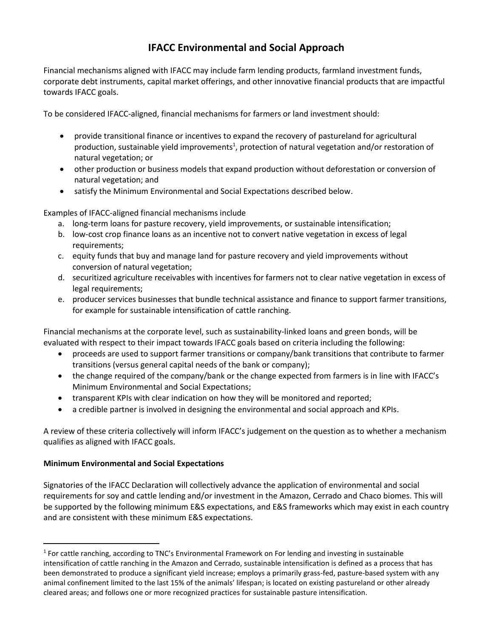# **IFACC Environmental and Social Approach**

Financial mechanisms aligned with IFACC may include farm lending products, farmland investment funds, corporate debt instruments, capital market offerings, and other innovative financial products that are impactful towards IFACC goals.

To be considered IFACC-aligned, financial mechanisms for farmers or land investment should:

- provide transitional finance or incentives to expand the recovery of pastureland for agricultural production, sustainable yield improvements<sup>1</sup>, protection of natural vegetation and/or restoration of natural vegetation; or
- other production or business models that expand production without deforestation or conversion of natural vegetation; and
- satisfy the Minimum Environmental and Social Expectations described below.

Examples of IFACC-aligned financial mechanisms include

- a. long-term loans for pasture recovery, yield improvements, or sustainable intensification;
- b. low-cost crop finance loans as an incentive not to convert native vegetation in excess of legal requirements;
- c. equity funds that buy and manage land for pasture recovery and yield improvements without conversion of natural vegetation;
- d. securitized agriculture receivables with incentives for farmers not to clear native vegetation in excess of legal requirements;
- e. producer services businesses that bundle technical assistance and finance to support farmer transitions, for example for sustainable intensification of cattle ranching.

Financial mechanisms at the corporate level, such as sustainability-linked loans and green bonds, will be evaluated with respect to their impact towards IFACC goals based on criteria including the following:

- proceeds are used to support farmer transitions or company/bank transitions that contribute to farmer transitions (versus general capital needs of the bank or company);
- the change required of the company/bank or the change expected from farmers is in line with IFACC's Minimum Environmental and Social Expectations;
- transparent KPIs with clear indication on how they will be monitored and reported;
- a credible partner is involved in designing the environmental and social approach and KPIs.

A review of these criteria collectively will inform IFACC's judgement on the question as to whether a mechanism qualifies as aligned with IFACC goals.

### **Minimum Environmental and Social Expectations**

Signatories of the IFACC Declaration will collectively advance the application of environmental and social requirements for soy and cattle lending and/or investment in the Amazon, Cerrado and Chaco biomes. This will be supported by the following minimum E&S expectations, and E&S frameworks which may exist in each country and are consistent with these minimum E&S expectations.

<sup>&</sup>lt;sup>1</sup> For cattle ranching, according to TNC's Environmental Framework on For lending and investing in sustainable intensification of cattle ranching in the Amazon and Cerrado, sustainable intensification is defined as a process that has been demonstrated to produce a significant yield increase; employs a primarily grass-fed, pasture-based system with any animal confinement limited to the last 15% of the animals' lifespan; is located on existing pastureland or other already cleared areas; and follows one or more recognized practices for sustainable pasture intensification.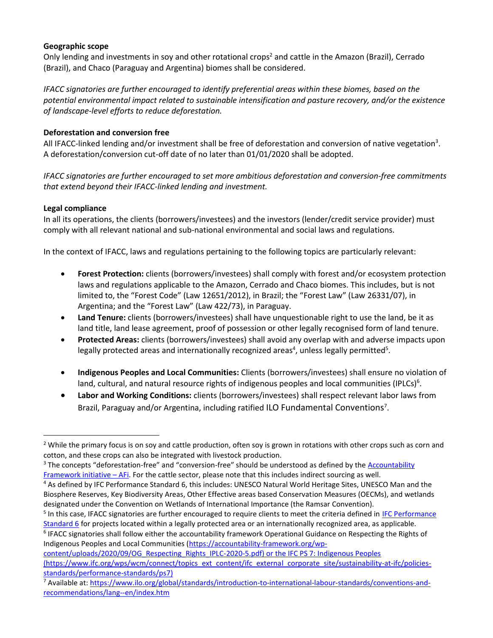## **Geographic scope**

Only lending and investments in soy and other rotational crops<sup>2</sup> and cattle in the Amazon (Brazil), Cerrado (Brazil), and Chaco (Paraguay and Argentina) biomes shall be considered.

*IFACC signatories are further encouraged to identify preferential areas within these biomes, based on the potential environmental impact related to sustainable intensification and pasture recovery, and/or the existence of landscape-level efforts to reduce deforestation.*

# **Deforestation and conversion free**

All IFACC-linked lending and/or investment shall be free of deforestation and conversion of native vegetation<sup>3</sup>. A deforestation/conversion cut-off date of no later than 01/01/2020 shall be adopted.

*IFACC signatories are further encouraged to set more ambitious deforestation and conversion-free commitments that extend beyond their IFACC-linked lending and investment.* 

# **Legal compliance**

In all its operations, the clients (borrowers/investees) and the investors (lender/credit service provider) must comply with all relevant national and sub-national environmental and social laws and regulations.

In the context of IFACC, laws and regulations pertaining to the following topics are particularly relevant:

- **Forest Protection:** clients (borrowers/investees) shall comply with forest and/or ecosystem protection laws and regulations applicable to the Amazon, Cerrado and Chaco biomes. This includes, but is not limited to, the "Forest Code" (Law 12651/2012), in Brazil; the "Forest Law" (Law 26331/07), in Argentina; and the "Forest Law" (Law 422/73), in Paraguay.
- **Land Tenure:** clients (borrowers/investees) shall have unquestionable right to use the land, be it as land title, land lease agreement, proof of possession or other legally recognised form of land tenure.
- **Protected Areas:** clients (borrowers/investees) shall avoid any overlap with and adverse impacts upon legally protected areas and internationally recognized areas<sup>4</sup>, unless legally permitted<sup>5</sup>.
- **Indigenous Peoples and Local Communities:** Clients (borrowers/investees) shall ensure no violation of land, cultural, and natural resource rights of indigenous peoples and local communities (IPLCs)<sup>6</sup>.
- **Labor and Working Conditions:** clients (borrowers/investees) shall respect relevant labor laws from Brazil, Paraguay and/or Argentina, including ratified ILO Fundamental Conventions<sup>7</sup>.

<sup>&</sup>lt;sup>2</sup> While the primary focus is on soy and cattle production, often soy is grown in rotations with other crops such as corn and cotton, and these crops can also be integrated with livestock production.

<sup>&</sup>lt;sup>3</sup> The concepts "deforestation-free" and "conversion-free" should be understood as defined by the **Accountability** [Framework initiative](https://accountability-framework.org/the-framework/contents/definitions/) – AFi. For the cattle sector, please note that this includes indirect sourcing as well.

<sup>&</sup>lt;sup>4</sup> As defined by IFC Performance Standard 6, this includes: UNESCO Natural World Heritage Sites, UNESCO Man and the Biosphere Reserves, Key Biodiversity Areas, Other Effective areas based Conservation Measures (OECMs), and wetlands designated under the Convention on Wetlands of International Importance (the Ramsar Convention).

<sup>&</sup>lt;sup>5</sup> In this case, IFACC signatories are further encouraged to require clients to meet the criteria defined in IFC Performance [Standard 6](https://www.ifc.org/wps/wcm/connect/topics_ext_content/ifc_external_corporate_site/sustainability-at-ifc/policies-standards/performance-standards/ps6) for projects located within a legally protected area or an internationally recognized area, as applicable.

<sup>&</sup>lt;sup>6</sup> IFACC signatories shall follow either the accountability framework Operational Guidance on Respecting the Rights of Indigenous Peoples and Local Communities [\(https://accountability-framework.org/wp-](https://accountability-framework.org/wp-content/uploads/2020/09/OG_Respecting_Rights_IPLC-2020-5.pdf)

[content/uploads/2020/09/OG\\_Respecting\\_Rights\\_IPLC-2020-5.pdf\)](https://accountability-framework.org/wp-content/uploads/2020/09/OG_Respecting_Rights_IPLC-2020-5.pdf) or the IFC PS 7: Indigenous Peoples (https://www.ifc.org/wps/wcm/connect/topics\_ext\_content/ifc\_external\_corporate\_site/sustainability-at-ifc/policiesstandards/performance-standards/ps7)

<sup>7</sup> Available at: [https://www.ilo.org/global/standards/introduction-to-international-labour-standards/conventions-and](https://www.ilo.org/global/standards/introduction-to-international-labour-standards/conventions-and-recommendations/lang--en/index.htm)[recommendations/lang--en/index.htm](https://www.ilo.org/global/standards/introduction-to-international-labour-standards/conventions-and-recommendations/lang--en/index.htm)